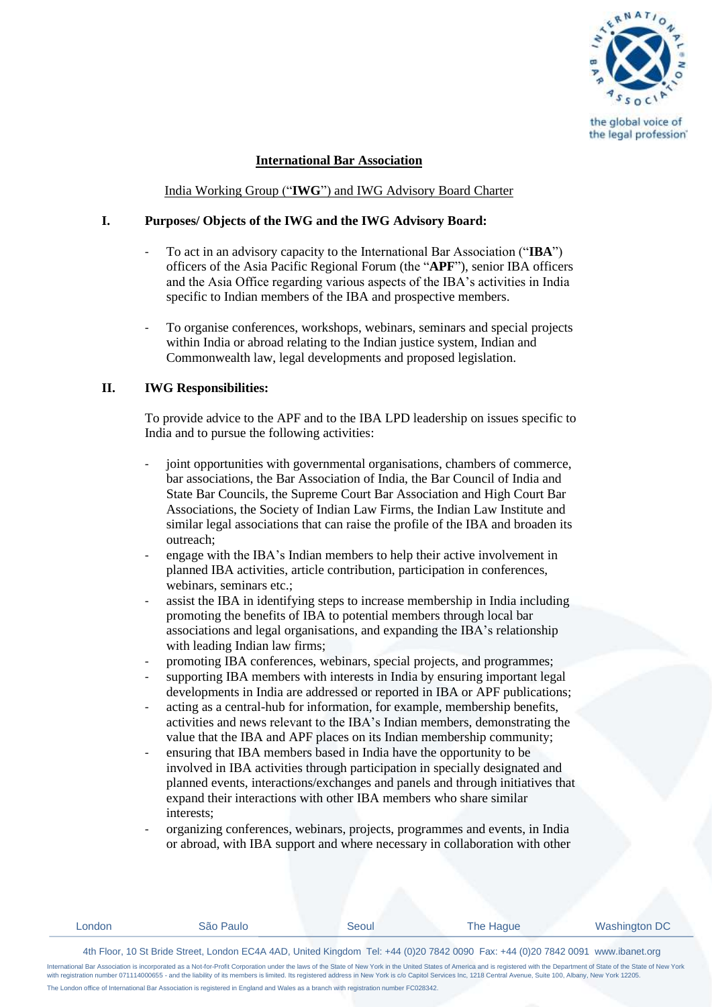

## **International Bar Association**

India Working Group ("**IWG**") and IWG Advisory Board Charter

## **I. Purposes/ Objects of the IWG and the IWG Advisory Board:**

- To act in an advisory capacity to the International Bar Association ("**IBA**") officers of the Asia Pacific Regional Forum (the "**APF**"), senior IBA officers and the Asia Office regarding various aspects of the IBA's activities in India specific to Indian members of the IBA and prospective members.
- To organise conferences, workshops, webinars, seminars and special projects within India or abroad relating to the Indian justice system, Indian and Commonwealth law, legal developments and proposed legislation.

# **II. IWG Responsibilities:**

To provide advice to the APF and to the IBA LPD leadership on issues specific to India and to pursue the following activities:

- joint opportunities with governmental organisations, chambers of commerce, bar associations, the Bar Association of India, the Bar Council of India and State Bar Councils, the Supreme Court Bar Association and High Court Bar Associations, the Society of Indian Law Firms, the Indian Law Institute and similar legal associations that can raise the profile of the IBA and broaden its outreach;
- engage with the IBA's Indian members to help their active involvement in planned IBA activities, article contribution, participation in conferences, webinars, seminars etc.:
- assist the IBA in identifying steps to increase membership in India including promoting the benefits of IBA to potential members through local bar associations and legal organisations, and expanding the IBA's relationship with leading Indian law firms;
- promoting IBA conferences, webinars, special projects, and programmes;
- supporting IBA members with interests in India by ensuring important legal developments in India are addressed or reported in IBA or APF publications;
- acting as a central-hub for information, for example, membership benefits, activities and news relevant to the IBA's Indian members, demonstrating the value that the IBA and APF places on its Indian membership community;
- ensuring that IBA members based in India have the opportunity to be involved in IBA activities through participation in specially designated and planned events, interactions/exchanges and panels and through initiatives that expand their interactions with other IBA members who share similar interests;
- organizing conferences, webinars, projects, programmes and events, in India or abroad, with IBA support and where necessary in collaboration with other

| ondon | Paulo<br>. | ∕eoul. | I<br>Haque | Washington L |
|-------|------------|--------|------------|--------------|
|       |            |        |            |              |

4th Floor, 10 St Bride Street, London EC4A 4AD, United Kingdom Tel: +44 (0)20 7842 0090 Fax: +44 (0)20 7842 0091 www.ibanet.org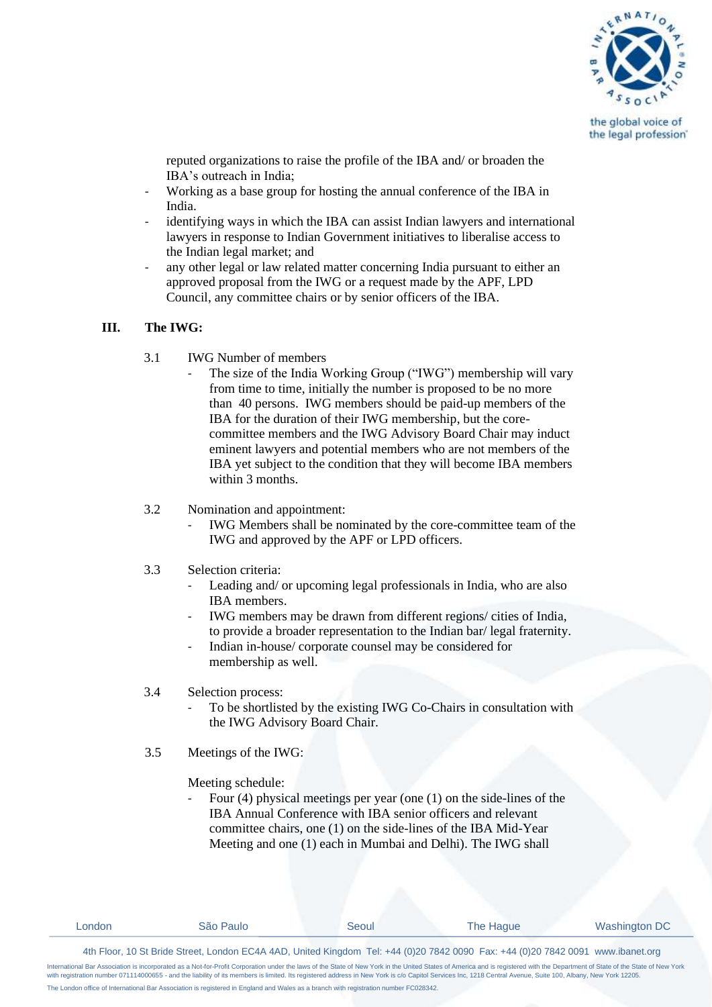

reputed organizations to raise the profile of the IBA and/ or broaden the IBA's outreach in India;

- Working as a base group for hosting the annual conference of the IBA in India.
- identifying ways in which the IBA can assist Indian lawyers and international lawyers in response to Indian Government initiatives to liberalise access to the Indian legal market; and
- any other legal or law related matter concerning India pursuant to either an approved proposal from the IWG or a request made by the APF, LPD Council, any committee chairs or by senior officers of the IBA.

## **III. The IWG:**

- 3.1 IWG Number of members
	- The size of the India Working Group ("IWG") membership will vary from time to time, initially the number is proposed to be no more than 40 persons. IWG members should be paid-up members of the IBA for the duration of their IWG membership, but the corecommittee members and the IWG Advisory Board Chair may induct eminent lawyers and potential members who are not members of the IBA yet subject to the condition that they will become IBA members within 3 months.
- 3.2 Nomination and appointment:
	- IWG Members shall be nominated by the core-committee team of the IWG and approved by the APF or LPD officers.
- 3.3 Selection criteria:
	- Leading and/ or upcoming legal professionals in India, who are also IBA members.
	- IWG members may be drawn from different regions/ cities of India, to provide a broader representation to the Indian bar/ legal fraternity.
	- Indian in-house/ corporate counsel may be considered for membership as well.
- 3.4 Selection process:
	- To be shortlisted by the existing IWG Co-Chairs in consultation with the IWG Advisory Board Chair.
- 3.5 Meetings of the IWG:

Meeting schedule:

Four  $(4)$  physical meetings per year (one  $(1)$  on the side-lines of the IBA Annual Conference with IBA senior officers and relevant committee chairs, one (1) on the side-lines of the IBA Mid-Year Meeting and one (1) each in Mumbai and Delhi). The IWG shall

| _ondon | São Paulo | seoul | The Haque | Washington DC |
|--------|-----------|-------|-----------|---------------|
|        |           |       |           |               |

4th Floor, 10 St Bride Street, London EC4A 4AD, United Kingdom Tel: +44 (0)20 7842 0090 Fax: +44 (0)20 7842 0091 www.ibanet.org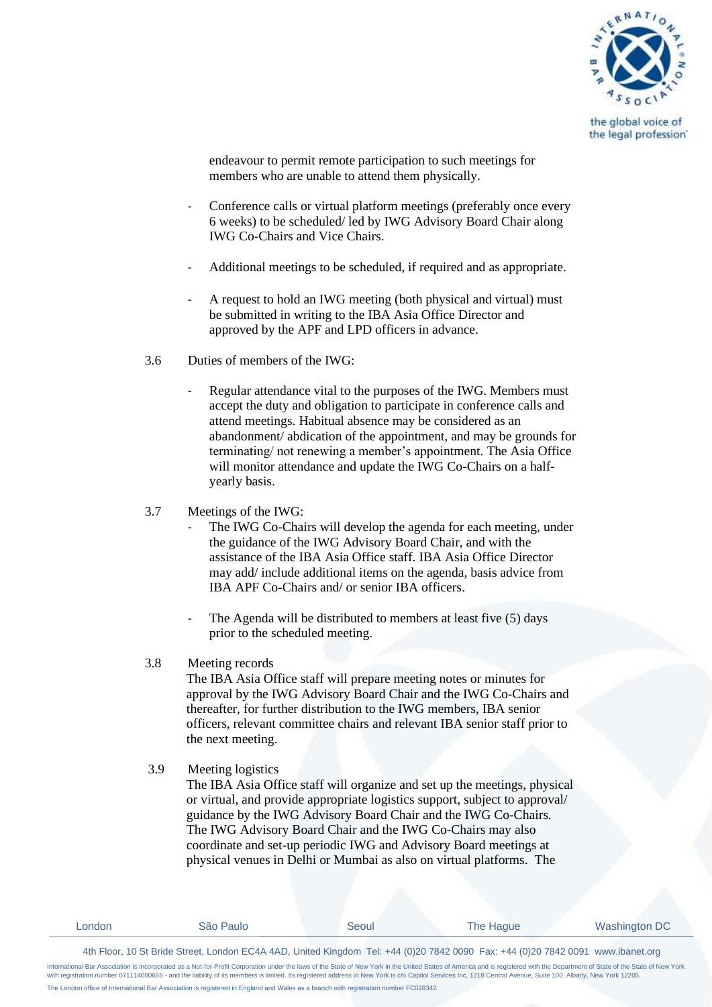

endeavour to permit remote participation to such meetings for members who are unable to attend them physically.

- Conference calls or virtual platform meetings (preferably once every 6 weeks) to be scheduled/ led by IWG Advisory Board Chair along IWG Co-Chairs and Vice Chairs.
- Additional meetings to be scheduled, if required and as appropriate.
- A request to hold an IWG meeting (both physical and virtual) must be submitted in writing to the IBA Asia Office Director and approved by the APF and LPD officers in advance.
- 3.6 Duties of members of the IWG:
	- Regular attendance vital to the purposes of the IWG. Members must accept the duty and obligation to participate in conference calls and attend meetings. Habitual absence may be considered as an abandonment/ abdication of the appointment, and may be grounds for terminating/ not renewing a member's appointment. The Asia Office will monitor attendance and update the IWG Co-Chairs on a halfyearly basis.
- 3.7 Meetings of the IWG:
	- The IWG Co-Chairs will develop the agenda for each meeting, under the guidance of the IWG Advisory Board Chair, and with the assistance of the IBA Asia Office staff. IBA Asia Office Director may add/ include additional items on the agenda, basis advice from IBA APF Co-Chairs and/ or senior IBA officers.
	- The Agenda will be distributed to members at least five (5) days prior to the scheduled meeting.

#### 3.8 Meeting records

The IBA Asia Office staff will prepare meeting notes or minutes for approval by the IWG Advisory Board Chair and the IWG Co-Chairs and thereafter, for further distribution to the IWG members, IBA senior officers, relevant committee chairs and relevant IBA senior staff prior to the next meeting.

3.9 Meeting logistics

The IBA Asia Office staff will organize and set up the meetings, physical or virtual, and provide appropriate logistics support, subject to approval/ guidance by the IWG Advisory Board Chair and the IWG Co-Chairs. The IWG Advisory Board Chair and the IWG Co-Chairs may also coordinate and set-up periodic IWG and Advisory Board meetings at physical venues in Delhi or Mumbai as also on virtual platforms. The

| ondon | São Paulo | seoul | he Haque | Washington DC |
|-------|-----------|-------|----------|---------------|
|       |           |       |          |               |

4th Floor, 10 St Bride Street, London EC4A 4AD, United Kingdom Tel: +44 (0)20 7842 0090 Fax: +44 (0)20 7842 0091 www.ibanet.org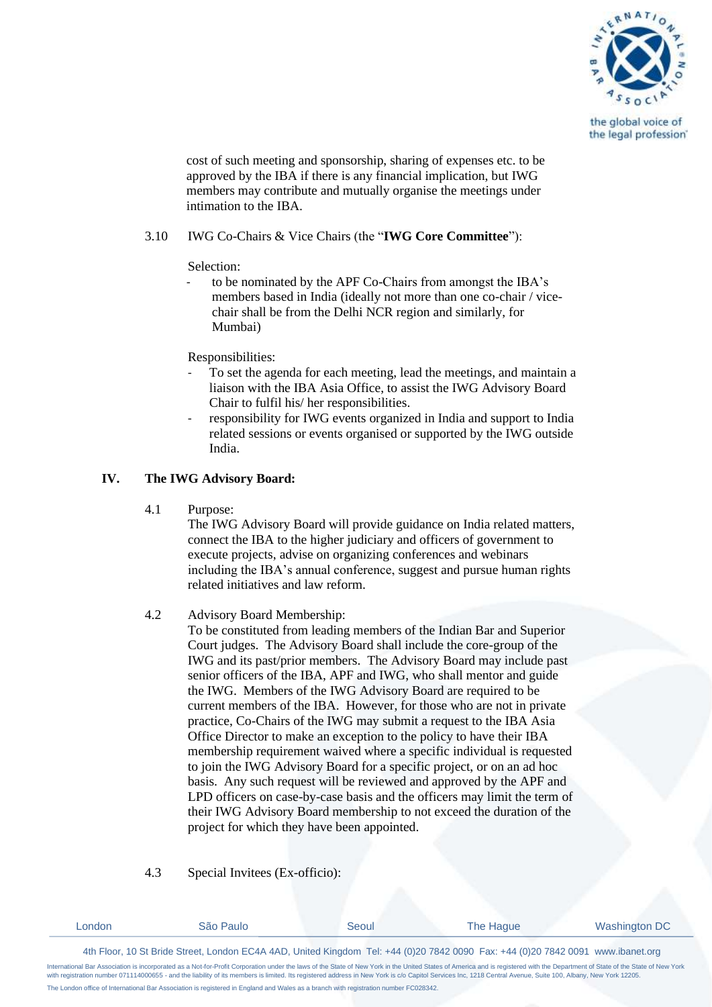

cost of such meeting and sponsorship, sharing of expenses etc. to be approved by the IBA if there is any financial implication, but IWG members may contribute and mutually organise the meetings under intimation to the IBA.

## 3.10 IWG Co-Chairs & Vice Chairs (the "**IWG Core Committee**"):

Selection:

to be nominated by the APF Co-Chairs from amongst the IBA's members based in India (ideally not more than one co-chair / vicechair shall be from the Delhi NCR region and similarly, for Mumbai)

Responsibilities:

- To set the agenda for each meeting, lead the meetings, and maintain a liaison with the IBA Asia Office, to assist the IWG Advisory Board Chair to fulfil his/ her responsibilities.
- responsibility for IWG events organized in India and support to India related sessions or events organised or supported by the IWG outside India.

# **IV. The IWG Advisory Board:**

4.1 Purpose:

The IWG Advisory Board will provide guidance on India related matters, connect the IBA to the higher judiciary and officers of government to execute projects, advise on organizing conferences and webinars including the IBA's annual conference, suggest and pursue human rights related initiatives and law reform.

## 4.2 Advisory Board Membership:

To be constituted from leading members of the Indian Bar and Superior Court judges. The Advisory Board shall include the core-group of the IWG and its past/prior members. The Advisory Board may include past senior officers of the IBA, APF and IWG, who shall mentor and guide the IWG. Members of the IWG Advisory Board are required to be current members of the IBA. However, for those who are not in private practice, Co-Chairs of the IWG may submit a request to the IBA Asia Office Director to make an exception to the policy to have their IBA membership requirement waived where a specific individual is requested to join the IWG Advisory Board for a specific project, or on an ad hoc basis. Any such request will be reviewed and approved by the APF and LPD officers on case-by-case basis and the officers may limit the term of their IWG Advisory Board membership to not exceed the duration of the project for which they have been appointed.

# 4.3 Special Invitees (Ex-officio):

| ondon | Paulo<br>טוכר<br>. | seoul | The Haque | Washington DC |
|-------|--------------------|-------|-----------|---------------|
|       |                    |       |           |               |

4th Floor, 10 St Bride Street, London EC4A 4AD, United Kingdom Tel: +44 (0)20 7842 0090 Fax: +44 (0)20 7842 0091 www.ibanet.org